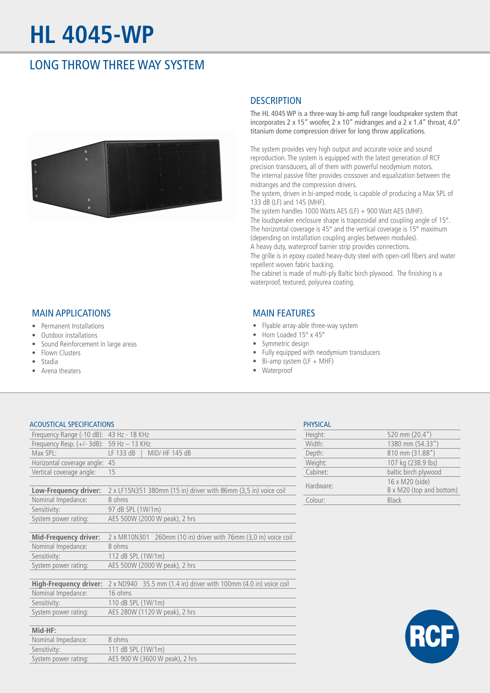# **HL 4045-WP**

## LONG THROW THREE WAY SYSTEM



## MAIN APPLICATIONS

- Permanent Installations
- Outdoor installations
- Sound Reinforcement in large areas
- Flown Clusters
- Stadia
- Arena theaters

## **DESCRIPTION**

The HL 4045 WP is a three-way bi-amp full range loudspeaker system that incorporates 2 x 15" woofer, 2 x 10" midranges and a 2 x 1.4" throat, 4.0" titanium dome compression driver for long throw applications.

The system provides very high output and accurate voice and sound reproduction. The system is equipped with the latest generation of RCF precision transducers, all of them with powerful neodymium motors. The internal passive filter provides crossover and equalization between the midranges and the compression drivers.

The system, driven in bi-amped mode, is capable of producing a Max SPL of 133 dB (LF) and 145 (MHF).

The system handles 1000 Watts AES (LF) + 900 Watt AES (MHF). The loudspeaker enclosure shape is trapezoidal and coupling angle of 15°. The horizontal coverage is 45° and the vertical coverage is 15° maximum (depending on installation coupling angles between modules).

A heavy duty, waterproof barrier strip provides connections.

The grille is in epoxy coated heavy-duty steel with open-cell fibers and water repellent woven fabric backing.

The cabinet is made of multi-ply Baltic birch plywood. The finishing is a waterproof, textured, polyurea coating.

### MAIN FEATURES

- Flyable array-able three-way system
- Horn Loaded 15° x 45°
- Symmetric design
- Fully equipped with neodymium transducers
- $\bullet$  Bi-amp system (LF + MHF)
- Waterproof

#### ACOUSTICAL SPECIFICATIONS

Sensitivity: 111 dB SPL (1W/1m)

System power rating: AES 900 W (3600 W peak), 2 hrs

| Frequency Range $(-10 \text{ dB})$ : 43 Hz - 18 KHz |                                                                  |  |
|-----------------------------------------------------|------------------------------------------------------------------|--|
| Frequency Resp. $(+/- 3dB)$ : 59 Hz - 13 KHz        |                                                                  |  |
| Max SPL:                                            | LF 133 dB  <br>MID/ HF 145 dB                                    |  |
| Horizontal coverage angle: 45                       |                                                                  |  |
| Vertical coverage angle:                            | 15                                                               |  |
|                                                     |                                                                  |  |
| Low-Frequency driver:                               | 2 x LF15N351 380mm (15 in) driver with 86mm (3,5 in) voice coil  |  |
| Nominal Impedance:                                  | 8 ohms                                                           |  |
| Sensitivity:                                        | 97 dB SPL (1W/1m)                                                |  |
| System power rating:                                | AES 500W (2000 W peak), 2 hrs                                    |  |
|                                                     |                                                                  |  |
| <b>Mid-Frequency driver:</b>                        | 2 x MR10N301 260mm (10 in) driver with 76mm (3,0 in) voice coil  |  |
| Nominal Impedance:                                  | 8 ohms                                                           |  |
| Sensitivity:                                        | 112 dB SPL (1W/1m)                                               |  |
| System power rating:                                | AES 500W (2000 W peak), 2 hrs                                    |  |
|                                                     |                                                                  |  |
| <b>High-Frequency driver:</b>                       | 2 x ND940 35.5 mm (1.4 in) driver with 100mm (4.0 in) voice coil |  |
| Nominal Impedance:                                  | 16 ohms                                                          |  |
| Sensitivity:                                        | 110 dB SPL (1W/1m)                                               |  |
| System power rating:                                | AES 280W (1120 W peak), 2 hrs                                    |  |
|                                                     |                                                                  |  |
| Mid-HF:                                             |                                                                  |  |
| Nominal Impedance:                                  | 8 ohms                                                           |  |

| <b>PHYSICAL</b> |                                             |
|-----------------|---------------------------------------------|
| Height:         | 520 mm (20.4")                              |
| Width:          | 1380 mm (54.33")                            |
| Depth:          | 810 mm (31.88")                             |
| Weight:         | 107 kg (238.9 lbs)                          |
| Cabinet:        | baltic birch plywood                        |
| Hardware:       | 16 x M20 (side)<br>8 x M20 (top and bottom) |
| Colour:         | <b>Black</b>                                |